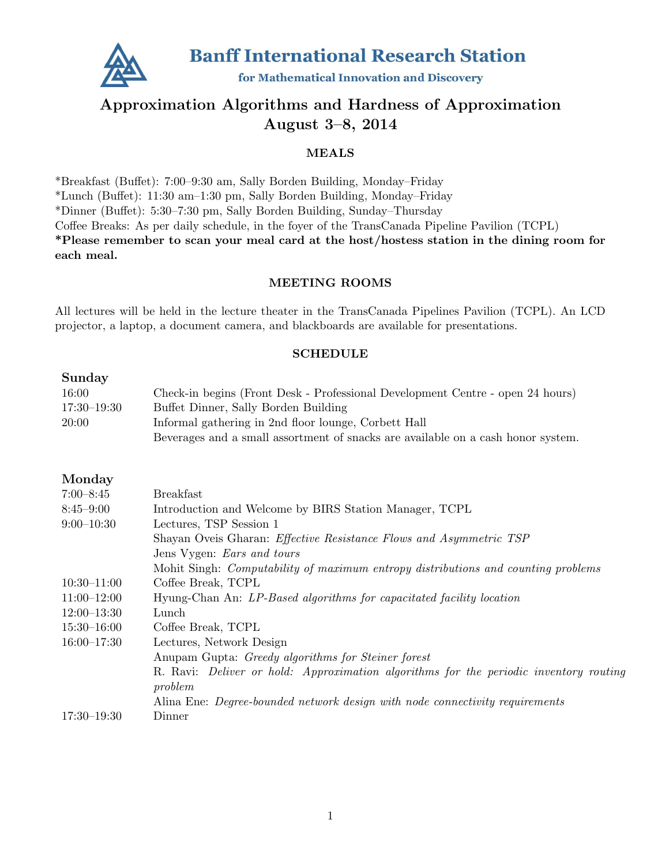

# Approximation Algorithms and Hardness of Approximation August 3–8, 2014

# MEALS

\*Breakfast (Buffet): 7:00–9:30 am, Sally Borden Building, Monday–Friday \*Lunch (Buffet): 11:30 am–1:30 pm, Sally Borden Building, Monday–Friday \*Dinner (Buffet): 5:30–7:30 pm, Sally Borden Building, Sunday–Thursday Coffee Breaks: As per daily schedule, in the foyer of the TransCanada Pipeline Pavilion (TCPL) \*Please remember to scan your meal card at the host/hostess station in the dining room for each meal.

# MEETING ROOMS

All lectures will be held in the lecture theater in the TransCanada Pipelines Pavilion (TCPL). An LCD projector, a laptop, a document camera, and blackboards are available for presentations.

# SCHEDULE

# Sunday

| 16:00       | Check-in begins (Front Desk - Professional Development Centre - open 24 hours)   |
|-------------|----------------------------------------------------------------------------------|
| 17:30–19:30 | Buffet Dinner, Sally Borden Building                                             |
| 20:00       | Informal gathering in 2nd floor lounge, Corbett Hall                             |
|             | Beverages and a small assortment of snacks are available on a cash honor system. |

# Monday

| $7:00 - 8:45$   | <b>Breakfast</b>                                                                         |
|-----------------|------------------------------------------------------------------------------------------|
| $8:45 - 9:00$   | Introduction and Welcome by BIRS Station Manager, TCPL                                   |
| $9:00-10:30$    | Lectures, TSP Session 1                                                                  |
|                 | Shayan Oveis Gharan: <i>Effective Resistance Flows and Asymmetric TSP</i>                |
|                 | Jens Vygen: <i>Ears and tours</i>                                                        |
|                 | Mohit Singh: <i>Computability of maximum entropy distributions and counting problems</i> |
| $10:30 - 11:00$ | Coffee Break, TCPL                                                                       |
| $11:00 - 12:00$ | Hyung-Chan An: LP-Based algorithms for capacitated facility location                     |
| $12:00-13:30$   | Lunch                                                                                    |
| $15:30 - 16:00$ | Coffee Break, TCPL                                                                       |
| $16:00 - 17:30$ | Lectures, Network Design                                                                 |
|                 | Anupam Gupta: <i>Greedy algorithms for Steiner forest</i>                                |
|                 | R. Ravi: Deliver or hold: Approximation algorithms for the periodic inventory routing    |
|                 | problem                                                                                  |
|                 | Alina Ene: Degree-bounded network design with node connectivity requirements             |
| $17:30 - 19:30$ | Dinner                                                                                   |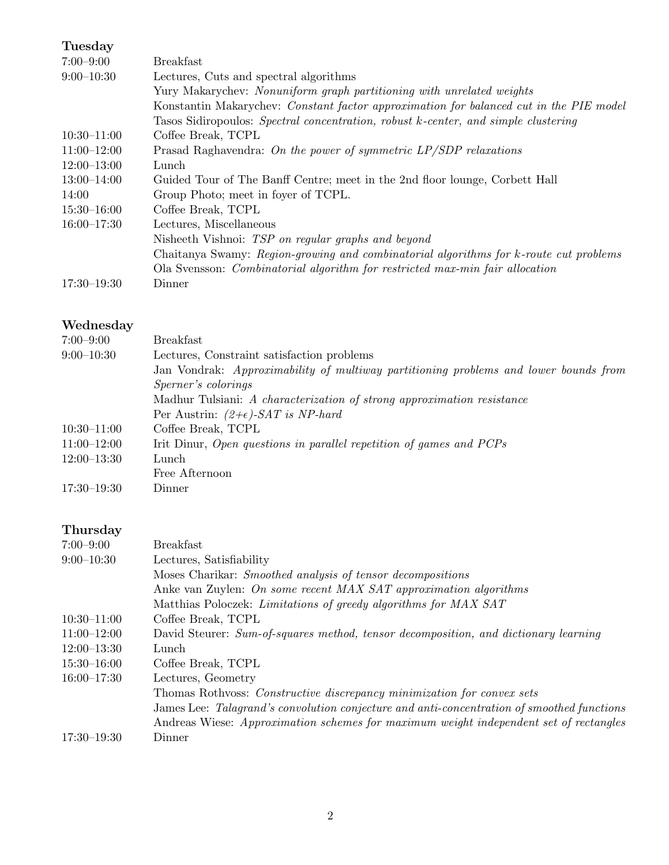# Tuesday

| $7:00 - 9:00$   | <b>Breakfast</b>                                                                       |
|-----------------|----------------------------------------------------------------------------------------|
| $9:00-10:30$    | Lectures, Cuts and spectral algorithms                                                 |
|                 | Yury Makarychev: Nonuniform graph partitioning with unrelated weights                  |
|                 | Konstantin Makarychev: Constant factor approximation for balanced cut in the PIE model |
|                 | Tasos Sidiropoulos: Spectral concentration, robust k-center, and simple clustering     |
| $10:30 - 11:00$ | Coffee Break, TCPL                                                                     |
| $11:00 - 12:00$ | Prasad Raghavendra: On the power of symmetric $LP/SDP$ relaxations                     |
| $12:00 - 13:00$ | Lunch                                                                                  |
| $13:00 - 14:00$ | Guided Tour of The Banff Centre; meet in the 2nd floor lounge, Corbett Hall            |
| 14:00           | Group Photo; meet in foyer of TCPL.                                                    |
| $15:30 - 16:00$ | Coffee Break, TCPL                                                                     |
| $16:00 - 17:30$ | Lectures, Miscellaneous                                                                |
|                 | Nisheeth Vishnoi: TSP on regular graphs and beyond                                     |
|                 | Chaitanya Swamy: Region-growing and combinatorial algorithms for k-route cut problems  |
|                 | Ola Svensson: Combinatorial algorithm for restricted max-min fair allocation           |
| $17:30 - 19:30$ | Dinner                                                                                 |

# Wednesday

| $7:00 - 9:00$   | <b>Breakfast</b>                                                                     |
|-----------------|--------------------------------------------------------------------------------------|
| $9:00-10:30$    | Lectures, Constraint satisfaction problems                                           |
|                 | Jan Vondrak: Approximability of multiway partitioning problems and lower bounds from |
|                 | <i>Sperner's colorings</i>                                                           |
|                 | Madhur Tulsiani: A characterization of strong approximation resistance               |
|                 | Per Austrin: $(2+\epsilon)$ -SAT is NP-hard                                          |
| $10:30 - 11:00$ | Coffee Break, TCPL                                                                   |
| $11:00-12:00$   | Irit Dinur, Open questions in parallel repetition of games and PCPs                  |
| $12:00 - 13:30$ | Lunch                                                                                |
|                 | Free Afternoon                                                                       |
| $17:30 - 19:30$ | Dinner                                                                               |

# Thursday

| $7:00 - 9:00$   | <b>Breakfast</b>                                                                           |
|-----------------|--------------------------------------------------------------------------------------------|
| $9:00-10:30$    | Lectures, Satisfiability                                                                   |
|                 | Moses Charikar: Smoothed analysis of tensor decompositions                                 |
|                 | Anke van Zuylen: On some recent MAX SAT approximation algorithms                           |
|                 | Matthias Poloczek: Limitations of greedy algorithms for MAX SAT                            |
| $10:30 - 11:00$ | Coffee Break, TCPL                                                                         |
| $11:00-12:00$   | David Steurer: Sum-of-squares method, tensor decomposition, and dictionary learning        |
| $12:00-13:30$   | Lunch                                                                                      |
| $15:30 - 16:00$ | Coffee Break, TCPL                                                                         |
| $16:00 - 17:30$ | Lectures, Geometry                                                                         |
|                 | Thomas Rothvoss: Constructive discrepancy minimization for convex sets                     |
|                 | James Lee: Talagrand's convolution conjecture and anti-concentration of smoothed functions |
|                 | Andreas Wiese: Approximation schemes for maximum weight independent set of rectangles      |
| $17:30 - 19:30$ | Dinner                                                                                     |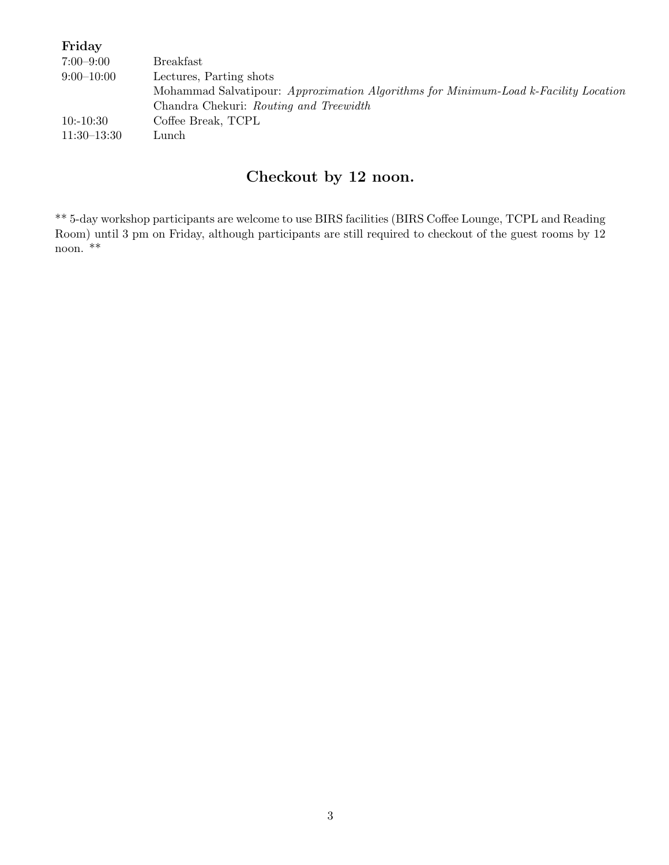| Friday        |                                                                                     |
|---------------|-------------------------------------------------------------------------------------|
| $7:00 - 9:00$ | <b>Breakfast</b>                                                                    |
| $9:00-10:00$  | Lectures, Parting shots                                                             |
|               | Mohammad Salvatipour: Approximation Algorithms for Minimum-Load k-Facility Location |
|               | Chandra Chekuri: Routing and Treewidth                                              |
| $10: -10:30$  | Coffee Break, TCPL                                                                  |
| $11:30-13:30$ | Lunch                                                                               |

# Checkout by 12 noon.

\*\* 5-day workshop participants are welcome to use BIRS facilities (BIRS Coffee Lounge, TCPL and Reading Room) until 3 pm on Friday, although participants are still required to checkout of the guest rooms by 12 noon. \*\*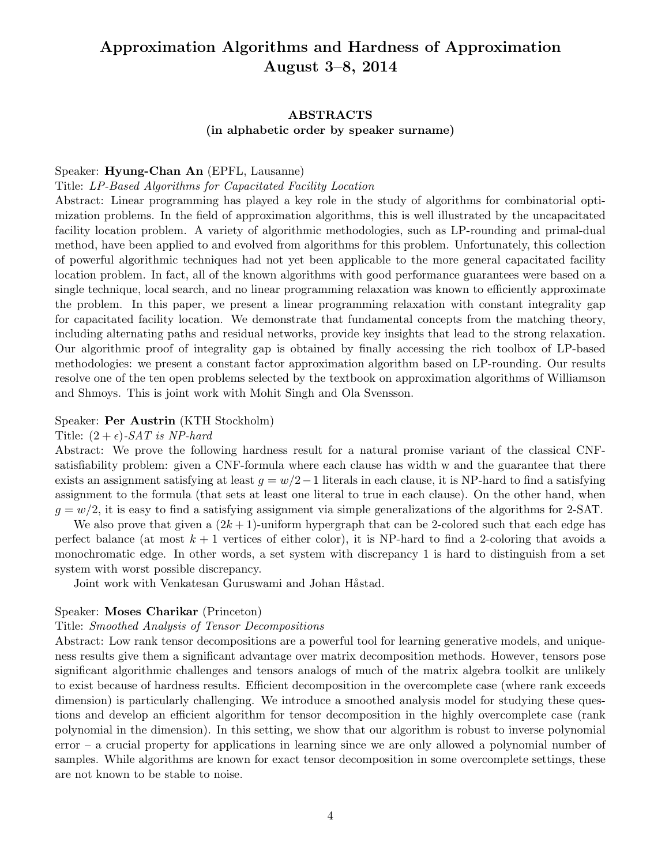# Approximation Algorithms and Hardness of Approximation August 3–8, 2014

# ABSTRACTS (in alphabetic order by speaker surname)

#### Speaker: Hyung-Chan An (EPFL, Lausanne)

#### Title: LP-Based Algorithms for Capacitated Facility Location

Abstract: Linear programming has played a key role in the study of algorithms for combinatorial optimization problems. In the field of approximation algorithms, this is well illustrated by the uncapacitated facility location problem. A variety of algorithmic methodologies, such as LP-rounding and primal-dual method, have been applied to and evolved from algorithms for this problem. Unfortunately, this collection of powerful algorithmic techniques had not yet been applicable to the more general capacitated facility location problem. In fact, all of the known algorithms with good performance guarantees were based on a single technique, local search, and no linear programming relaxation was known to efficiently approximate the problem. In this paper, we present a linear programming relaxation with constant integrality gap for capacitated facility location. We demonstrate that fundamental concepts from the matching theory, including alternating paths and residual networks, provide key insights that lead to the strong relaxation. Our algorithmic proof of integrality gap is obtained by finally accessing the rich toolbox of LP-based methodologies: we present a constant factor approximation algorithm based on LP-rounding. Our results resolve one of the ten open problems selected by the textbook on approximation algorithms of Williamson and Shmoys. This is joint work with Mohit Singh and Ola Svensson.

# Speaker: Per Austrin (KTH Stockholm)

#### Title:  $(2 + \epsilon)$ -SAT is NP-hard

Abstract: We prove the following hardness result for a natural promise variant of the classical CNFsatisfiability problem: given a CNF-formula where each clause has width w and the guarantee that there exists an assignment satisfying at least  $g = w/2 - 1$  literals in each clause, it is NP-hard to find a satisfying assignment to the formula (that sets at least one literal to true in each clause). On the other hand, when  $g = w/2$ , it is easy to find a satisfying assignment via simple generalizations of the algorithms for 2-SAT.

We also prove that given a  $(2k+1)$ -uniform hypergraph that can be 2-colored such that each edge has perfect balance (at most  $k + 1$  vertices of either color), it is NP-hard to find a 2-coloring that avoids a monochromatic edge. In other words, a set system with discrepancy 1 is hard to distinguish from a set system with worst possible discrepancy.

Joint work with Venkatesan Guruswami and Johan Håstad.

#### Speaker: Moses Charikar (Princeton)

#### Title: Smoothed Analysis of Tensor Decompositions

Abstract: Low rank tensor decompositions are a powerful tool for learning generative models, and uniqueness results give them a significant advantage over matrix decomposition methods. However, tensors pose significant algorithmic challenges and tensors analogs of much of the matrix algebra toolkit are unlikely to exist because of hardness results. Efficient decomposition in the overcomplete case (where rank exceeds dimension) is particularly challenging. We introduce a smoothed analysis model for studying these questions and develop an efficient algorithm for tensor decomposition in the highly overcomplete case (rank polynomial in the dimension). In this setting, we show that our algorithm is robust to inverse polynomial error – a crucial property for applications in learning since we are only allowed a polynomial number of samples. While algorithms are known for exact tensor decomposition in some overcomplete settings, these are not known to be stable to noise.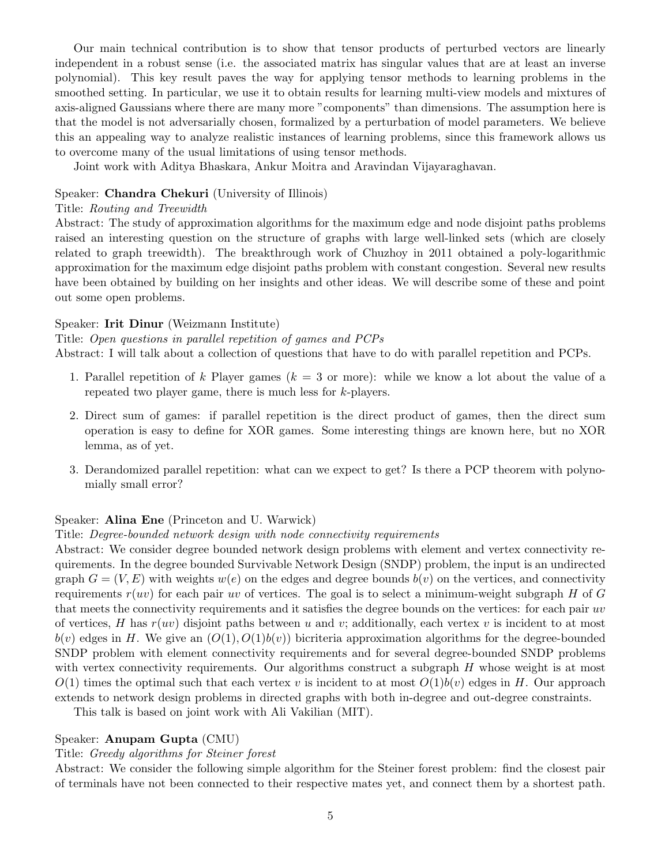Our main technical contribution is to show that tensor products of perturbed vectors are linearly independent in a robust sense (i.e. the associated matrix has singular values that are at least an inverse polynomial). This key result paves the way for applying tensor methods to learning problems in the smoothed setting. In particular, we use it to obtain results for learning multi-view models and mixtures of axis-aligned Gaussians where there are many more "components" than dimensions. The assumption here is that the model is not adversarially chosen, formalized by a perturbation of model parameters. We believe this an appealing way to analyze realistic instances of learning problems, since this framework allows us to overcome many of the usual limitations of using tensor methods.

Joint work with Aditya Bhaskara, Ankur Moitra and Aravindan Vijayaraghavan.

# Speaker: Chandra Chekuri (University of Illinois)

# Title: Routing and Treewidth

Abstract: The study of approximation algorithms for the maximum edge and node disjoint paths problems raised an interesting question on the structure of graphs with large well-linked sets (which are closely related to graph treewidth). The breakthrough work of Chuzhoy in 2011 obtained a poly-logarithmic approximation for the maximum edge disjoint paths problem with constant congestion. Several new results have been obtained by building on her insights and other ideas. We will describe some of these and point out some open problems.

# Speaker: Irit Dinur (Weizmann Institute)

## Title: Open questions in parallel repetition of games and PCPs

Abstract: I will talk about a collection of questions that have to do with parallel repetition and PCPs.

- 1. Parallel repetition of k Player games  $(k = 3 \text{ or more})$ : while we know a lot about the value of a repeated two player game, there is much less for k-players.
- 2. Direct sum of games: if parallel repetition is the direct product of games, then the direct sum operation is easy to define for XOR games. Some interesting things are known here, but no XOR lemma, as of yet.
- 3. Derandomized parallel repetition: what can we expect to get? Is there a PCP theorem with polynomially small error?

# Speaker: Alina Ene (Princeton and U. Warwick)

## Title: Degree-bounded network design with node connectivity requirements

Abstract: We consider degree bounded network design problems with element and vertex connectivity requirements. In the degree bounded Survivable Network Design (SNDP) problem, the input is an undirected graph  $G = (V, E)$  with weights  $w(e)$  on the edges and degree bounds  $b(v)$  on the vertices, and connectivity requirements  $r(uv)$  for each pair uv of vertices. The goal is to select a minimum-weight subgraph H of G that meets the connectivity requirements and it satisfies the degree bounds on the vertices: for each pair uv of vertices, H has  $r(uv)$  disjoint paths between u and v; additionally, each vertex v is incident to at most  $b(v)$  edges in H. We give an  $(O(1), O(1)b(v))$  bicriteria approximation algorithms for the degree-bounded SNDP problem with element connectivity requirements and for several degree-bounded SNDP problems with vertex connectivity requirements. Our algorithms construct a subgraph H whose weight is at most  $O(1)$  times the optimal such that each vertex v is incident to at most  $O(1)b(v)$  edges in H. Our approach extends to network design problems in directed graphs with both in-degree and out-degree constraints.

This talk is based on joint work with Ali Vakilian (MIT).

# Speaker: Anupam Gupta (CMU)

# Title: Greedy algorithms for Steiner forest

Abstract: We consider the following simple algorithm for the Steiner forest problem: find the closest pair of terminals have not been connected to their respective mates yet, and connect them by a shortest path.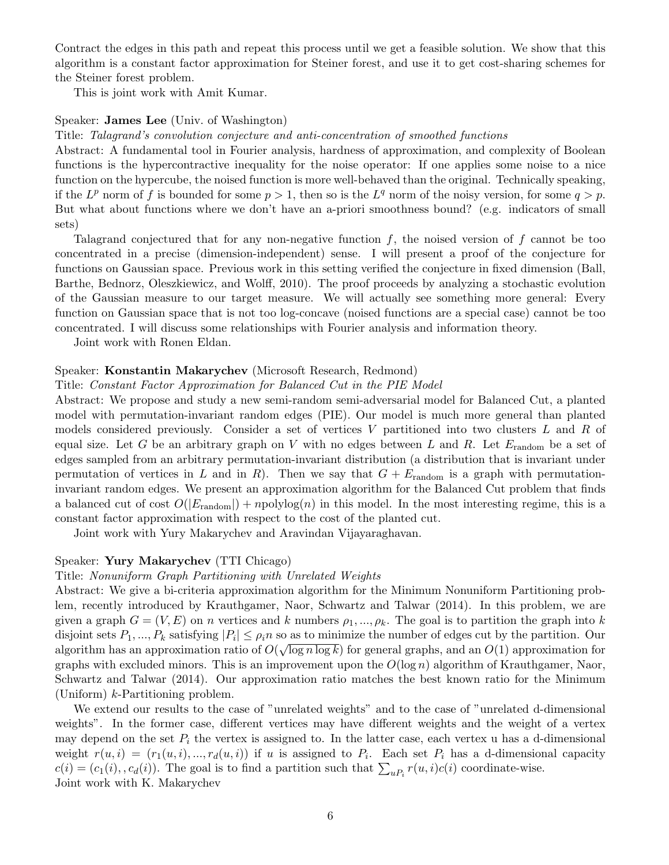Contract the edges in this path and repeat this process until we get a feasible solution. We show that this algorithm is a constant factor approximation for Steiner forest, and use it to get cost-sharing schemes for the Steiner forest problem.

This is joint work with Amit Kumar.

# Speaker: James Lee (Univ. of Washington)

Title: Talagrand's convolution conjecture and anti-concentration of smoothed functions

Abstract: A fundamental tool in Fourier analysis, hardness of approximation, and complexity of Boolean functions is the hypercontractive inequality for the noise operator: If one applies some noise to a nice function on the hypercube, the noised function is more well-behaved than the original. Technically speaking, if the  $L^p$  norm of f is bounded for some  $p > 1$ , then so is the  $L^q$  norm of the noisy version, for some  $q > p$ . But what about functions where we don't have an a-priori smoothness bound? (e.g. indicators of small sets)

Talagrand conjectured that for any non-negative function  $f$ , the noised version of  $f$  cannot be too concentrated in a precise (dimension-independent) sense. I will present a proof of the conjecture for functions on Gaussian space. Previous work in this setting verified the conjecture in fixed dimension (Ball, Barthe, Bednorz, Oleszkiewicz, and Wolff, 2010). The proof proceeds by analyzing a stochastic evolution of the Gaussian measure to our target measure. We will actually see something more general: Every function on Gaussian space that is not too log-concave (noised functions are a special case) cannot be too concentrated. I will discuss some relationships with Fourier analysis and information theory.

Joint work with Ronen Eldan.

#### Speaker: Konstantin Makarychev (Microsoft Research, Redmond)

#### Title: Constant Factor Approximation for Balanced Cut in the PIE Model

Abstract: We propose and study a new semi-random semi-adversarial model for Balanced Cut, a planted model with permutation-invariant random edges (PIE). Our model is much more general than planted models considered previously. Consider a set of vertices  $V$  partitioned into two clusters  $L$  and  $R$  of equal size. Let G be an arbitrary graph on V with no edges between L and R. Let  $E_{\text{random}}$  be a set of edges sampled from an arbitrary permutation-invariant distribution (a distribution that is invariant under permutation of vertices in L and in R). Then we say that  $G + E_{\text{random}}$  is a graph with permutationinvariant random edges. We present an approximation algorithm for the Balanced Cut problem that finds a balanced cut of cost  $O(|E_{\text{random}}|) + npolylog(n)$  in this model. In the most interesting regime, this is a constant factor approximation with respect to the cost of the planted cut.

Joint work with Yury Makarychev and Aravindan Vijayaraghavan.

#### Speaker: Yury Makarychev (TTI Chicago)

#### Title: Nonuniform Graph Partitioning with Unrelated Weights

Abstract: We give a bi-criteria approximation algorithm for the Minimum Nonuniform Partitioning problem, recently introduced by Krauthgamer, Naor, Schwartz and Talwar (2014). In this problem, we are given a graph  $G = (V, E)$  on n vertices and k numbers  $\rho_1, ..., \rho_k$ . The goal is to partition the graph into k disjoint sets  $P_1, ..., P_k$  satisfying  $|P_i| \leq \rho_i n$  so as to minimize the number of edges cut by the partition. Our algorithm has an approximation ratio of  $O(\sqrt{\log n \log k})$  for general graphs, and an  $O(1)$  approximation for graphs with excluded minors. This is an improvement upon the  $O(\log n)$  algorithm of Krauthgamer, Naor, Schwartz and Talwar (2014). Our approximation ratio matches the best known ratio for the Minimum (Uniform)  $k$ -Partitioning problem.

We extend our results to the case of "unrelated weights" and to the case of "unrelated d-dimensional weights". In the former case, different vertices may have different weights and the weight of a vertex may depend on the set  $P_i$  the vertex is assigned to. In the latter case, each vertex u has a d-dimensional weight  $r(u, i) = (r_1(u, i), ..., r_d(u, i))$  if u is assigned to  $P_i$ . Each set  $P_i$  has a d-dimensional capacity  $c(i) = (c_1(i), c_d(i))$ . The goal is to find a partition such that  $\sum_{u_i} r(u, i)c(i)$  coordinate-wise. Joint work with K. Makarychev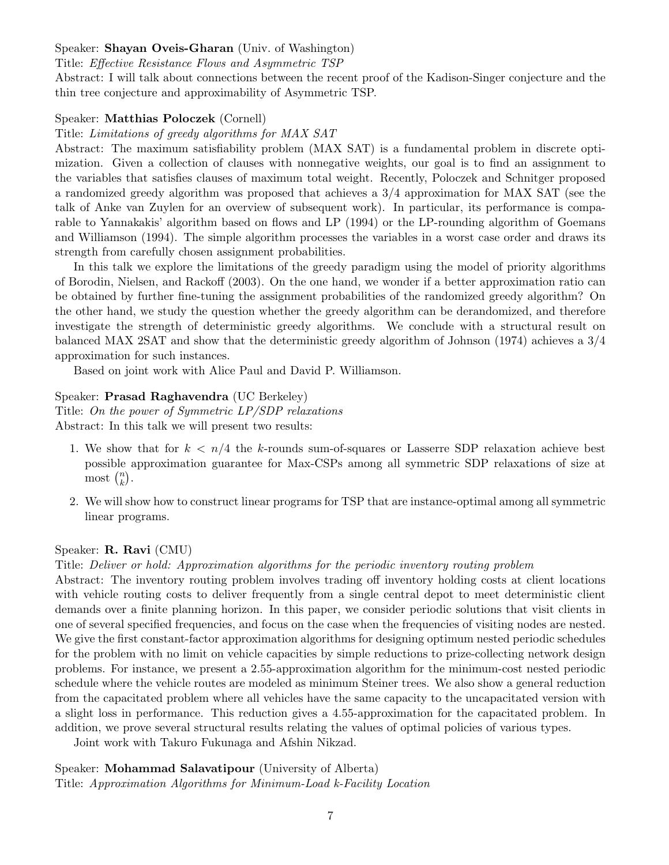### Speaker: Shayan Oveis-Gharan (Univ. of Washington)

Title: Effective Resistance Flows and Asymmetric TSP

Abstract: I will talk about connections between the recent proof of the Kadison-Singer conjecture and the thin tree conjecture and approximability of Asymmetric TSP.

#### Speaker: Matthias Poloczek (Cornell)

Title: Limitations of greedy algorithms for MAX SAT

Abstract: The maximum satisfiability problem (MAX SAT) is a fundamental problem in discrete optimization. Given a collection of clauses with nonnegative weights, our goal is to find an assignment to the variables that satisfies clauses of maximum total weight. Recently, Poloczek and Schnitger proposed a randomized greedy algorithm was proposed that achieves a 3/4 approximation for MAX SAT (see the talk of Anke van Zuylen for an overview of subsequent work). In particular, its performance is comparable to Yannakakis' algorithm based on flows and LP (1994) or the LP-rounding algorithm of Goemans and Williamson (1994). The simple algorithm processes the variables in a worst case order and draws its strength from carefully chosen assignment probabilities.

In this talk we explore the limitations of the greedy paradigm using the model of priority algorithms of Borodin, Nielsen, and Rackoff (2003). On the one hand, we wonder if a better approximation ratio can be obtained by further fine-tuning the assignment probabilities of the randomized greedy algorithm? On the other hand, we study the question whether the greedy algorithm can be derandomized, and therefore investigate the strength of deterministic greedy algorithms. We conclude with a structural result on balanced MAX 2SAT and show that the deterministic greedy algorithm of Johnson (1974) achieves a 3/4 approximation for such instances.

Based on joint work with Alice Paul and David P. Williamson.

#### Speaker: Prasad Raghavendra (UC Berkeley)

Title: On the power of Symmetric LP/SDP relaxations Abstract: In this talk we will present two results:

- 1. We show that for  $k < n/4$  the k-rounds sum-of-squares or Lasserre SDP relaxation achieve best possible approximation guarantee for Max-CSPs among all symmetric SDP relaxations of size at most  $\binom{n}{k}$  $\binom{n}{k}$ .
- 2. We will show how to construct linear programs for TSP that are instance-optimal among all symmetric linear programs.

#### Speaker: R. Ravi (CMU)

Title: Deliver or hold: Approximation algorithms for the periodic inventory routing problem

Abstract: The inventory routing problem involves trading off inventory holding costs at client locations with vehicle routing costs to deliver frequently from a single central depot to meet deterministic client demands over a finite planning horizon. In this paper, we consider periodic solutions that visit clients in one of several specified frequencies, and focus on the case when the frequencies of visiting nodes are nested. We give the first constant-factor approximation algorithms for designing optimum nested periodic schedules for the problem with no limit on vehicle capacities by simple reductions to prize-collecting network design problems. For instance, we present a 2.55-approximation algorithm for the minimum-cost nested periodic schedule where the vehicle routes are modeled as minimum Steiner trees. We also show a general reduction from the capacitated problem where all vehicles have the same capacity to the uncapacitated version with a slight loss in performance. This reduction gives a 4.55-approximation for the capacitated problem. In addition, we prove several structural results relating the values of optimal policies of various types.

Joint work with Takuro Fukunaga and Afshin Nikzad.

Speaker: Mohammad Salavatipour (University of Alberta) Title: Approximation Algorithms for Minimum-Load k-Facility Location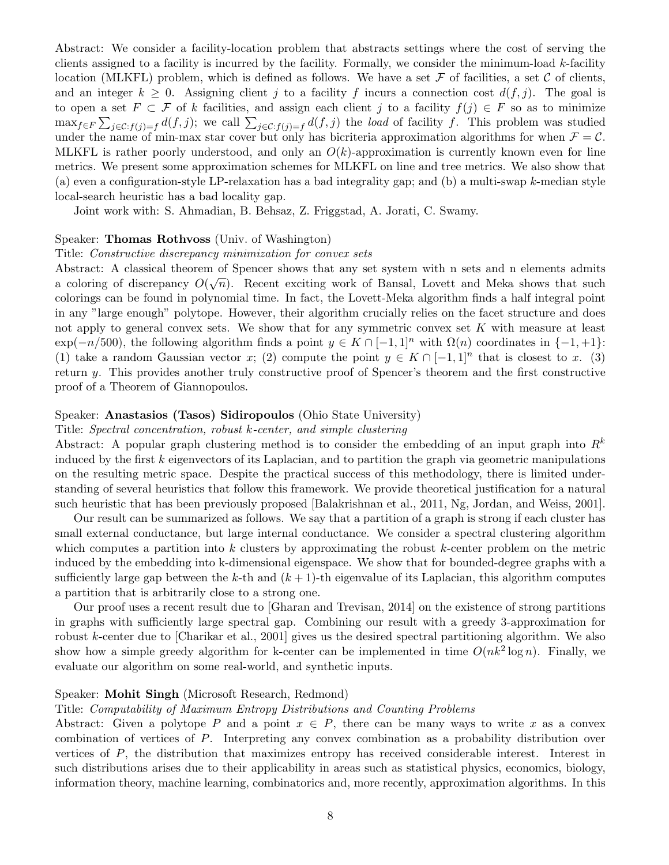Abstract: We consider a facility-location problem that abstracts settings where the cost of serving the clients assigned to a facility is incurred by the facility. Formally, we consider the minimum-load k-facility location (MLKFL) problem, which is defined as follows. We have a set  $\mathcal F$  of facilities, a set  $\mathcal C$  of clients, and an integer  $k \geq 0$ . Assigning client j to a facility f incurs a connection cost  $d(f, j)$ . The goal is to open a set  $F \subset \mathcal{F}$  of k facilities, and assign each client j to a facility  $f(j) \in F$  so as to minimize  $\max_{f \in F} \sum_{j \in \mathcal{C}:f(j)=f} d(f,j)$ ; we call  $\sum_{j \in \mathcal{C}:f(j)=f} d(f,j)$  the *load* of facility f. This problem was studied under the name of min-max star cover but only has bicriteria approximation algorithms for when  $\mathcal{F} = \mathcal{C}$ . MLKFL is rather poorly understood, and only an  $O(k)$ -approximation is currently known even for line metrics. We present some approximation schemes for MLKFL on line and tree metrics. We also show that (a) even a configuration-style LP-relaxation has a bad integrality gap; and (b) a multi-swap k-median style local-search heuristic has a bad locality gap.

Joint work with: S. Ahmadian, B. Behsaz, Z. Friggstad, A. Jorati, C. Swamy.

#### Speaker: Thomas Rothvoss (Univ. of Washington)

#### Title: Constructive discrepancy minimization for convex sets

Abstract: A classical theorem of Spencer shows that any set system with n sets and n elements admits a coloring of discrepancy  $O(\sqrt{n})$ . Recent exciting work of Bansal, Lovett and Meka shows that such colorings can be found in polynomial time. In fact, the Lovett-Meka algorithm finds a half integral point in any "large enough" polytope. However, their algorithm crucially relies on the facet structure and does not apply to general convex sets. We show that for any symmetric convex set  $K$  with measure at least  $\exp(-n/500)$ , the following algorithm finds a point  $y \in K \cap [-1,1]^n$  with  $\Omega(n)$  coordinates in  $\{-1,+1\}$ : (1) take a random Gaussian vector x; (2) compute the point  $y \in K \cap [-1,1]^n$  that is closest to x. (3) return y. This provides another truly constructive proof of Spencer's theorem and the first constructive proof of a Theorem of Giannopoulos.

#### Speaker: Anastasios (Tasos) Sidiropoulos (Ohio State University)

#### Title: Spectral concentration, robust k-center, and simple clustering

Abstract: A popular graph clustering method is to consider the embedding of an input graph into  $R^k$ induced by the first  $k$  eigenvectors of its Laplacian, and to partition the graph via geometric manipulations on the resulting metric space. Despite the practical success of this methodology, there is limited understanding of several heuristics that follow this framework. We provide theoretical justification for a natural such heuristic that has been previously proposed [Balakrishnan et al., 2011, Ng, Jordan, and Weiss, 2001].

Our result can be summarized as follows. We say that a partition of a graph is strong if each cluster has small external conductance, but large internal conductance. We consider a spectral clustering algorithm which computes a partition into  $k$  clusters by approximating the robust  $k$ -center problem on the metric induced by the embedding into k-dimensional eigenspace. We show that for bounded-degree graphs with a sufficiently large gap between the k-th and  $(k+1)$ -th eigenvalue of its Laplacian, this algorithm computes a partition that is arbitrarily close to a strong one.

Our proof uses a recent result due to [Gharan and Trevisan, 2014] on the existence of strong partitions in graphs with sufficiently large spectral gap. Combining our result with a greedy 3-approximation for robust k-center due to [Charikar et al., 2001] gives us the desired spectral partitioning algorithm. We also show how a simple greedy algorithm for k-center can be implemented in time  $O(nk^2 \log n)$ . Finally, we evaluate our algorithm on some real-world, and synthetic inputs.

#### Speaker: Mohit Singh (Microsoft Research, Redmond)

#### Title: Computability of Maximum Entropy Distributions and Counting Problems

Abstract: Given a polytope P and a point  $x \in P$ , there can be many ways to write x as a convex combination of vertices of P. Interpreting any convex combination as a probability distribution over vertices of P, the distribution that maximizes entropy has received considerable interest. Interest in such distributions arises due to their applicability in areas such as statistical physics, economics, biology, information theory, machine learning, combinatorics and, more recently, approximation algorithms. In this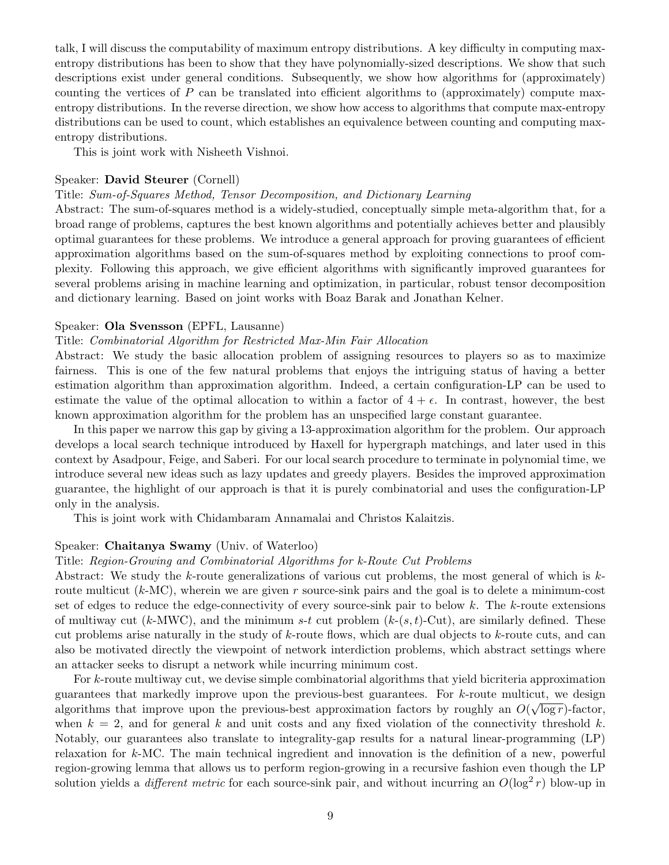talk, I will discuss the computability of maximum entropy distributions. A key difficulty in computing maxentropy distributions has been to show that they have polynomially-sized descriptions. We show that such descriptions exist under general conditions. Subsequently, we show how algorithms for (approximately) counting the vertices of  $P$  can be translated into efficient algorithms to (approximately) compute maxentropy distributions. In the reverse direction, we show how access to algorithms that compute max-entropy distributions can be used to count, which establishes an equivalence between counting and computing maxentropy distributions.

This is joint work with Nisheeth Vishnoi.

#### Speaker: David Steurer (Cornell)

#### Title: Sum-of-Squares Method, Tensor Decomposition, and Dictionary Learning

Abstract: The sum-of-squares method is a widely-studied, conceptually simple meta-algorithm that, for a broad range of problems, captures the best known algorithms and potentially achieves better and plausibly optimal guarantees for these problems. We introduce a general approach for proving guarantees of efficient approximation algorithms based on the sum-of-squares method by exploiting connections to proof complexity. Following this approach, we give efficient algorithms with significantly improved guarantees for several problems arising in machine learning and optimization, in particular, robust tensor decomposition and dictionary learning. Based on joint works with Boaz Barak and Jonathan Kelner.

# Speaker: Ola Svensson (EPFL, Lausanne)

## Title: Combinatorial Algorithm for Restricted Max-Min Fair Allocation

Abstract: We study the basic allocation problem of assigning resources to players so as to maximize fairness. This is one of the few natural problems that enjoys the intriguing status of having a better estimation algorithm than approximation algorithm. Indeed, a certain configuration-LP can be used to estimate the value of the optimal allocation to within a factor of  $4 + \epsilon$ . In contrast, however, the best known approximation algorithm for the problem has an unspecified large constant guarantee.

In this paper we narrow this gap by giving a 13-approximation algorithm for the problem. Our approach develops a local search technique introduced by Haxell for hypergraph matchings, and later used in this context by Asadpour, Feige, and Saberi. For our local search procedure to terminate in polynomial time, we introduce several new ideas such as lazy updates and greedy players. Besides the improved approximation guarantee, the highlight of our approach is that it is purely combinatorial and uses the configuration-LP only in the analysis.

This is joint work with Chidambaram Annamalai and Christos Kalaitzis.

## Speaker: Chaitanya Swamy (Univ. of Waterloo)

#### Title: Region-Growing and Combinatorial Algorithms for k-Route Cut Problems

Abstract: We study the k-route generalizations of various cut problems, the most general of which is kroute multicut  $(k-MC)$ , wherein we are given r source-sink pairs and the goal is to delete a minimum-cost set of edges to reduce the edge-connectivity of every source-sink pair to below  $k$ . The  $k$ -route extensions of multiway cut (k-MWC), and the minimum s-t cut problem (k- $(s,t)$ -Cut), are similarly defined. These cut problems arise naturally in the study of k-route flows, which are dual objects to k-route cuts, and can also be motivated directly the viewpoint of network interdiction problems, which abstract settings where an attacker seeks to disrupt a network while incurring minimum cost.

For k-route multiway cut, we devise simple combinatorial algorithms that yield bicriteria approximation guarantees that markedly improve upon the previous-best guarantees. For k-route multicut, we design algorithms that improve upon the previous-best approximation factors by roughly an  $O(\sqrt{\log r})$ -factor, when  $k = 2$ , and for general k and unit costs and any fixed violation of the connectivity threshold k. Notably, our guarantees also translate to integrality-gap results for a natural linear-programming (LP) relaxation for k-MC. The main technical ingredient and innovation is the definition of a new, powerful region-growing lemma that allows us to perform region-growing in a recursive fashion even though the LP solution yields a *different metric* for each source-sink pair, and without incurring an  $O(\log^2 r)$  blow-up in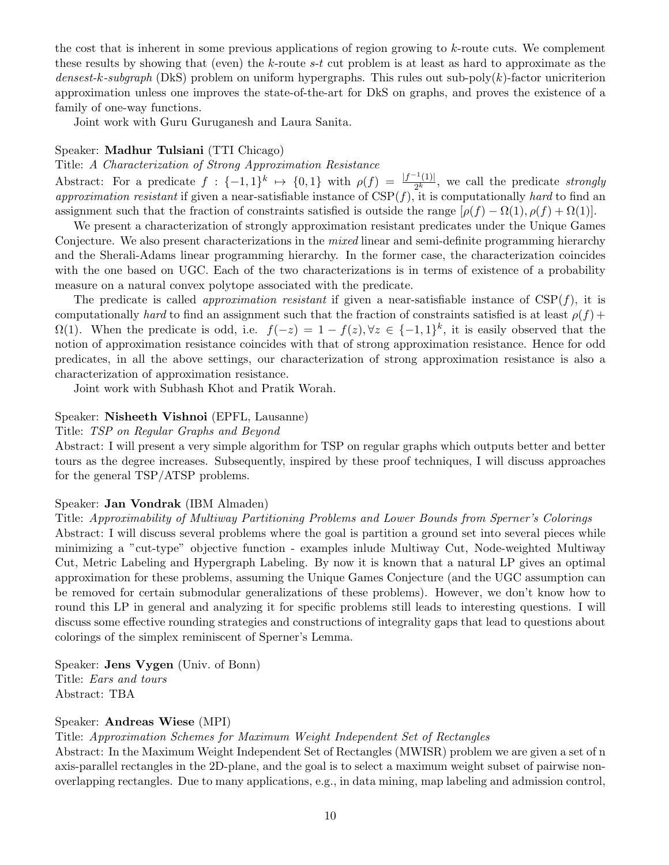the cost that is inherent in some previous applications of region growing to  $k$ -route cuts. We complement these results by showing that (even) the k-route  $s-t$  cut problem is at least as hard to approximate as the densest-k-subgraph (DkS) problem on uniform hypergraphs. This rules out sub-poly $(k)$ -factor unicriterion approximation unless one improves the state-of-the-art for DkS on graphs, and proves the existence of a family of one-way functions.

Joint work with Guru Guruganesh and Laura Sanita.

# Speaker: Madhur Tulsiani (TTI Chicago)

### Title: A Characterization of Strong Approximation Resistance

Abstract: For a predicate  $f: \{-1,1\}^k \mapsto \{0,1\}$  with  $\rho(f) = \frac{|f^{-1}(1)|}{2^k}$  $\frac{1}{2^k}$ , we call the predicate *strongly* approximation resistant if given a near-satisfiable instance of  $CSP(f)$ , it is computationally hard to find an assignment such that the fraction of constraints satisfied is outside the range  $[\rho(f) - \Omega(1), \rho(f) + \Omega(1)]$ .

We present a characterization of strongly approximation resistant predicates under the Unique Games Conjecture. We also present characterizations in the *mixed* linear and semi-definite programming hierarchy and the Sherali-Adams linear programming hierarchy. In the former case, the characterization coincides with the one based on UGC. Each of the two characterizations is in terms of existence of a probability measure on a natural convex polytope associated with the predicate.

The predicate is called *approximation resistant* if given a near-satisfiable instance of  $CSP(f)$ , it is computationally hard to find an assignment such that the fraction of constraints satisfied is at least  $\rho(f)$  +  $\Omega(1)$ . When the predicate is odd, i.e.  $f(-z) = 1 - f(z)$ ,  $\forall z \in \{-1,1\}^k$ , it is easily observed that the notion of approximation resistance coincides with that of strong approximation resistance. Hence for odd predicates, in all the above settings, our characterization of strong approximation resistance is also a characterization of approximation resistance.

Joint work with Subhash Khot and Pratik Worah.

#### Speaker: Nisheeth Vishnoi (EPFL, Lausanne)

# Title: TSP on Regular Graphs and Beyond

Abstract: I will present a very simple algorithm for TSP on regular graphs which outputs better and better tours as the degree increases. Subsequently, inspired by these proof techniques, I will discuss approaches for the general TSP/ATSP problems.

#### Speaker: Jan Vondrak (IBM Almaden)

Title: Approximability of Multiway Partitioning Problems and Lower Bounds from Sperner's Colorings Abstract: I will discuss several problems where the goal is partition a ground set into several pieces while minimizing a "cut-type" objective function - examples inlude Multiway Cut, Node-weighted Multiway Cut, Metric Labeling and Hypergraph Labeling. By now it is known that a natural LP gives an optimal approximation for these problems, assuming the Unique Games Conjecture (and the UGC assumption can be removed for certain submodular generalizations of these problems). However, we don't know how to round this LP in general and analyzing it for specific problems still leads to interesting questions. I will discuss some effective rounding strategies and constructions of integrality gaps that lead to questions about colorings of the simplex reminiscent of Sperner's Lemma.

Speaker: Jens Vygen (Univ. of Bonn) Title: Ears and tours Abstract: TBA

#### Speaker: Andreas Wiese (MPI)

## Title: Approximation Schemes for Maximum Weight Independent Set of Rectangles

Abstract: In the Maximum Weight Independent Set of Rectangles (MWISR) problem we are given a set of n axis-parallel rectangles in the 2D-plane, and the goal is to select a maximum weight subset of pairwise nonoverlapping rectangles. Due to many applications, e.g., in data mining, map labeling and admission control,